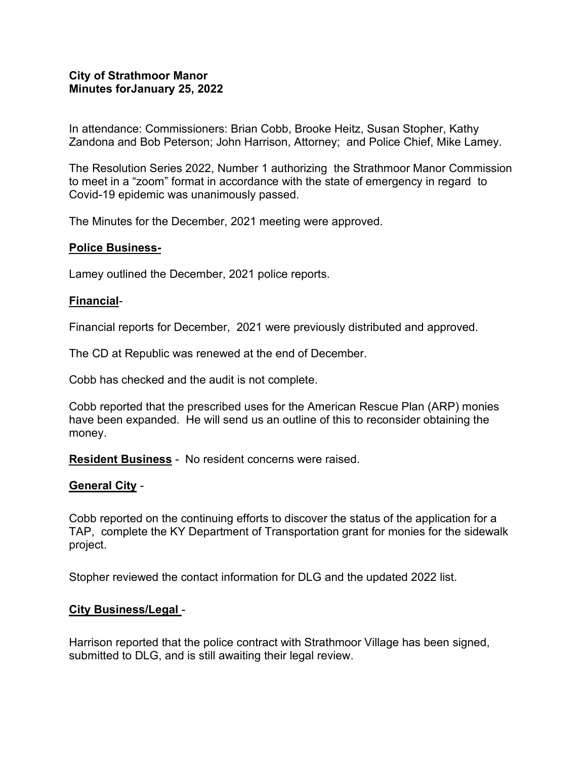### **City of Strathmoor Manor Minutes forJanuary 25, 2022**

In attendance: Commissioners: Brian Cobb, Brooke Heitz, Susan Stopher, Kathy Zandona and Bob Peterson; John Harrison, Attorney; and Police Chief, Mike Lamey.

The Resolution Series 2022, Number 1 authorizing the Strathmoor Manor Commission to meet in a "zoom" format in accordance with the state of emergency in regard to Covid-19 epidemic was unanimously passed.

The Minutes for the December, 2021 meeting were approved.

# **Police Business-**

Lamey outlined the December, 2021 police reports.

### **Financial**-

Financial reports for December, 2021 were previously distributed and approved.

The CD at Republic was renewed at the end of December.

Cobb has checked and the audit is not complete.

Cobb reported that the prescribed uses for the American Rescue Plan (ARP) monies have been expanded. He will send us an outline of this to reconsider obtaining the money.

**Resident Business** - No resident concerns were raised.

# **General City** -

Cobb reported on the continuing efforts to discover the status of the application for a TAP, complete the KY Department of Transportation grant for monies for the sidewalk project.

Stopher reviewed the contact information for DLG and the updated 2022 list.

#### **City Business/Legal** -

Harrison reported that the police contract with Strathmoor Village has been signed, submitted to DLG, and is still awaiting their legal review.